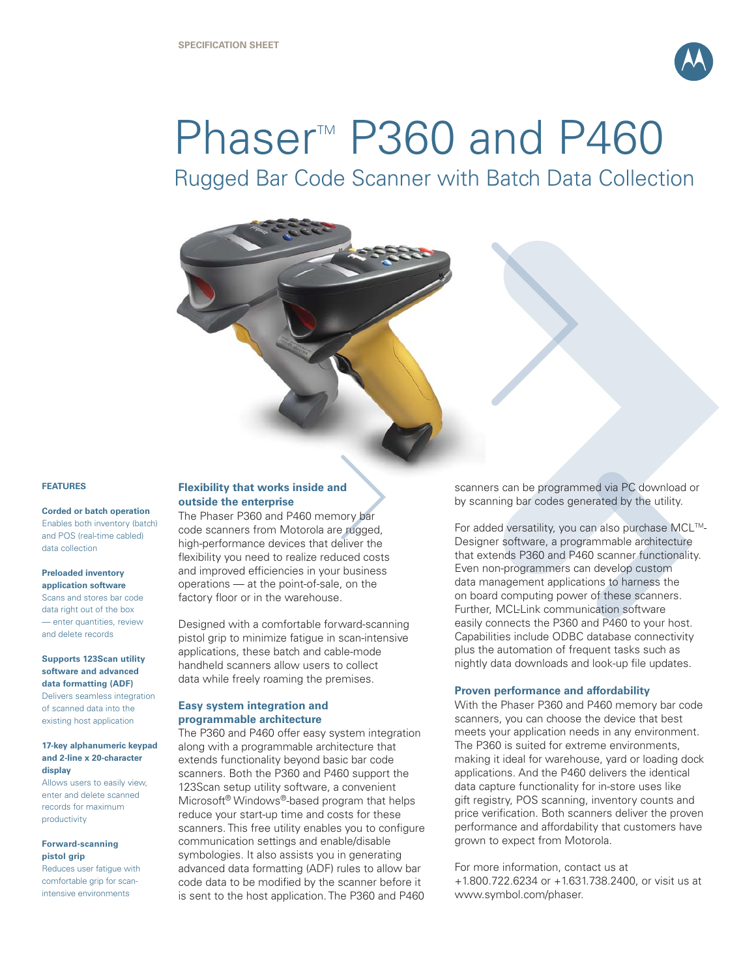

# Phaser<sup>M</sup> P360 and P460

Rugged Bar Code Scanner with Batch Data Collection



## **FEATURES**

**Corded or batch operation**  Enables both inventory (batch) and POS (real-time cabled) data collection

### **Preloaded inventory**

**application software** Scans and stores bar code data right out of the box — enter quantities, review and delete records

## **Supports 123Scan utility software and advanced data formatting (ADF)**

Delivers seamless integration of scanned data into the existing host application

#### **17-key alphanumeric keypad and 2-line x 20-character display**

Allows users to easily view, enter and delete scanned records for maximum productivity

## **Forward-scanning pistol grip**

Reduces user fatigue with comfortable grip for scanintensive environments

# **Flexibility that works inside and outside the enterprise**

The Phaser P360 and P460 memory bar code scanners from Motorola are rugged, high-performance devices that deliver the flexibility you need to realize reduced costs and improved efficiencies in your business operations — at the point-of-sale, on the factory floor or in the warehouse.

Designed with a comfortable forward-scanning pistol grip to minimize fatigue in scan-intensive applications, these batch and cable-mode handheld scanners allow users to collect data while freely roaming the premises.

# **Easy system integration and programmable architecture**

The P360 and P460 offer easy system integration along with a programmable architecture that extends functionality beyond basic bar code scanners. Both the P360 and P460 support the 123Scan setup utility software, a convenient Microsoft® Windows®-based program that helps reduce your start-up time and costs for these scanners. This free utility enables you to configure communication settings and enable/disable symbologies. It also assists you in generating advanced data formatting (ADF) rules to allow bar code data to be modified by the scanner before it is sent to the host application. The P360 and P460

scanners can be programmed via PC download or by scanning bar codes generated by the utility.

For added versatility, you can also purchase MCL™-Designer software, a programmable architecture that extends P360 and P460 scanner functionality. Even non-programmers can develop custom data management applications to harness the on board computing power of these scanners. Further, MCL-Link communication software easily connects the P360 and P460 to your host. Capabilities include ODBC database connectivity plus the automation of frequent tasks such as nightly data downloads and look-up file updates.

# **Proven performance and affordability**

With the Phaser P360 and P460 memory bar code scanners, you can choose the device that best meets your application needs in any environment. The P360 is suited for extreme environments, making it ideal for warehouse, yard or loading dock applications. And the P460 delivers the identical data capture functionality for in-store uses like gift registry, POS scanning, inventory counts and price verification. Both scanners deliver the proven performance and affordability that customers have grown to expect from Motorola.

For more information, contact us at +1.800.722.6234 or +1.631.738.2400, or visit us at www.symbol.com/phaser.